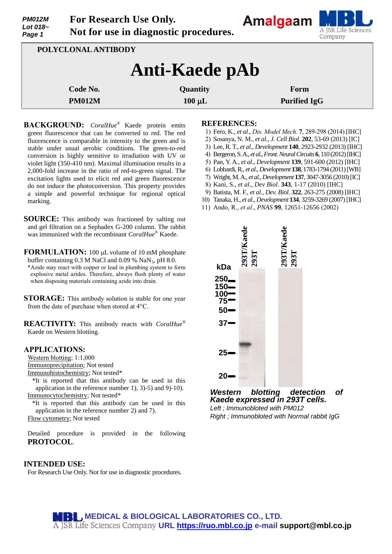| <b>PM012M</b><br>Lot 018 $\sim$<br>Page 1 | For Research Use Only.                |
|-------------------------------------------|---------------------------------------|
|                                           | Not for use in diagnostic procedures. |



| POLYCLONAL ANTIBODY   |             |                     |  |
|-----------------------|-------------|---------------------|--|
| <b>Anti-Kaede pAb</b> |             |                     |  |
| Code No.              | Quantity    | Form                |  |
| <b>PM012M</b>         | $100 \mu L$ | <b>Purified IgG</b> |  |

**BACKGROUND:** *CoralHue®* Kaede protein emits green fluorescence that can be converted to red. The red fluorescence is comparable in intensity to the green and is stable under usual aerobic conditions. The green-to-red conversion is highly sensitive to irradiation with UV or violet light (350-410 nm). Maximal illumination results in a 2,000-fold increase in the ratio of red-to-green signal. The excitation lights used to elicit red and green fluorescence do not induce the photoconversion. This property provides a simple and powerful technique for regional optical marking.

**SOURCE:** This antibody was fractioned by salting out and gel filtration on a Sephadex G-200 column. The rabbit was immunized with the recombinant *CoralHue®* Kaede.

**FORMULATION:** 100 µL volume of 10 mM phosphate buffer containing  $0.3$  M NaCl and  $0.09$  % NaN<sub>3</sub>, pH 8.0.

\*Azide may react with copper or lead in plumbing system to form explosive metal azides. Therefore, always flush plenty of water when disposing materials containing azide into drain.

**STORAGE:** This antibody solution is stable for one year from the date of purchase when stored at 4°C.

**REACTIVITY:** This antibody reacts with *CoralHue®* Kaede on Western blotting.

#### **APPLICATIONS:**

Western blotting; 1:1,000 Immunoprecipitation; Not tested

Immunohistochemistry; Not tested\*

\*It is reported that this antibody can be used in this application in the reference number 1), 3)-5) and 9)-10). Immunocytochemistry; Not tested\*

\*It is reported that this antibody can be used in this application in the reference number 2) and 7). Flow cytometry; Not tested

Detailed procedure is provided in the following **PROTOCOL**.

#### **INTENDED USE:**

For Research Use Only. Not for use in diagnostic procedures.

#### **REFERENCES:**

- 1) Fero, K., *et al*., *Dis. [Model Mech.](http://www.ncbi.nlm.nih.gov/pubmed/?term=24203884)* **7**, 289-298 (2014) [IHC]
- 2) [Sosanya,](http://www.ncbi.nlm.nih.gov/pubmed?term=Sosanya%20NM%5BAuthor%5D&cauthor=true&cauthor_uid=23836929) N. M., *et al*., *J. Cell Biol.* **202**, 53-69 (2013) [IC]
- 3) Lee, R. T., *et al*., *Development* **140**, 2923-2932 (2013) [IHC]
- 4) Bergeron,S. A., *et al*., *Front.Neural Circuits* **6**, 110 (2012)[IHC]
- 5) Pan, Y. A., *et al*., *Development* **139**, 591-600 (2012) [IHC]
- 6) Lobbardi,R., *et al*., *Development* **138**, 1783-1794 (2011)[WB]
- 7) Wright, M. A., *et al.*, *Development* **137**, 3047-3056 (2010)[IC]
- 8) Kani, S., *et al*., *Dev Biol*. **343**, 1-17 (2010) [IHC]
- 9) Batista, M. F., *et al., Dev. Biol*. **322**, 263-275 (2008) [IHC]
- 10) Tanaka, H., *et al*., *Development* **134**, 3259-3269 (2007) [IHC]
- 11) Ando, R., *et al*., *PNAS* **99**, 12651-12656 (2002)



*Western blotting detection of Kaede expressed in 293T cells. Left ; Immunobloted with PM012*

*Right ; Immunobloted with Normal rabbit IgG*